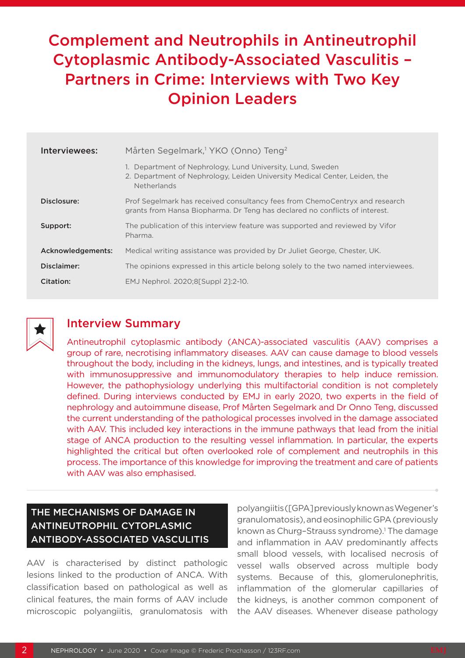# Complement and Neutrophils in Antineutrophil Cytoplasmic Antibody-Associated Vasculitis – Partners in Crime: Interviews with Two Key Opinion Leaders

| Interviewees:     | Mårten Segelmark, <sup>1</sup> YKO (Onno) Teng <sup>2</sup>                                                                                                    |
|-------------------|----------------------------------------------------------------------------------------------------------------------------------------------------------------|
|                   | 1. Department of Nephrology, Lund University, Lund, Sweden<br>2. Department of Nephrology, Leiden University Medical Center, Leiden, the<br><b>Netherlands</b> |
| Disclosure:       | Prof Segelmark has received consultancy fees from ChemoCentryx and research<br>grants from Hansa Biopharma. Dr Teng has declared no conflicts of interest.     |
| Support:          | The publication of this interview feature was supported and reviewed by Vifor<br>Pharma.                                                                       |
| Acknowledgements: | Medical writing assistance was provided by Dr Juliet George, Chester, UK.                                                                                      |
| Disclaimer:       | The opinions expressed in this article belong solely to the two named interviewees.                                                                            |
| Citation:         | EMJ Nephrol, 2020:85 Suppl 21:2-10.                                                                                                                            |



# Interview Summary

Antineutrophil cytoplasmic antibody (ANCA)-associated vasculitis (AAV) comprises a group of rare, necrotising inflammatory diseases. AAV can cause damage to blood vessels throughout the body, including in the kidneys, lungs, and intestines, and is typically treated with immunosuppressive and immunomodulatory therapies to help induce remission. However, the pathophysiology underlying this multifactorial condition is not completely defined. During interviews conducted by EMJ in early 2020, two experts in the field of nephrology and autoimmune disease, Prof Mårten Segelmark and Dr Onno Teng, discussed the current understanding of the pathological processes involved in the damage associated with AAV. This included key interactions in the immune pathways that lead from the initial stage of ANCA production to the resulting vessel inflammation. In particular, the experts highlighted the critical but often overlooked role of complement and neutrophils in this process. The importance of this knowledge for improving the treatment and care of patients with AAV was also emphasised.

# THE MECHANISMS OF DAMAGE IN ANTINEUTROPHIL CYTOPLASMIC ANTIBODY-ASSOCIATED VASCULITIS

AAV is characterised by distinct pathologic lesions linked to the production of ANCA. With classification based on pathological as well as clinical features, the main forms of AAV include microscopic polyangiitis, granulomatosis with

polyangiitis ([GPA] previously known as Wegener's granulomatosis), and eosinophilic GPA (previously known as Churg-Strauss syndrome).<sup>1</sup> The damage and inflammation in AAV predominantly affects small blood vessels, with localised necrosis of vessel walls observed across multiple body systems. Because of this, glomerulonephritis, inflammation of the glomerular capillaries of the kidneys, is another common component of the AAV diseases. Whenever disease pathology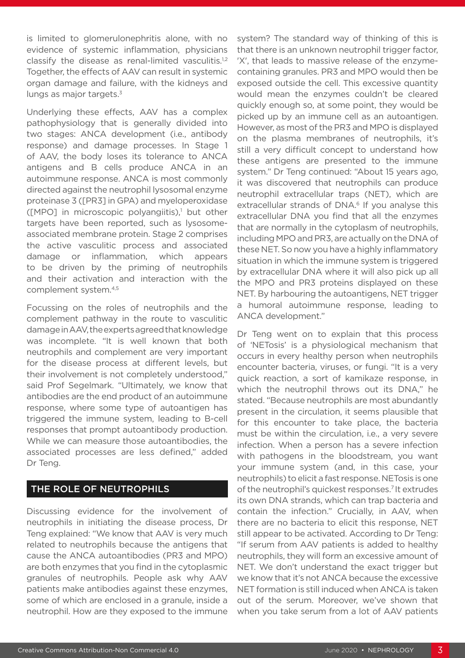is limited to glomerulonephritis alone, with no evidence of systemic inflammation, physicians classify the disease as renal-limited vasculitis.<sup>1,2</sup> Together, the effects of AAV can result in systemic organ damage and failure, with the kidneys and lungs as major targets.<sup>3</sup>

Underlying these effects, AAV has a complex pathophysiology that is generally divided into two stages: ANCA development (i.e., antibody response) and damage processes. In Stage 1 of AAV, the body loses its tolerance to ANCA antigens and B cells produce ANCA in an autoimmune response. ANCA is most commonly directed against the neutrophil lysosomal enzyme proteinase 3 ([PR3] in GPA) and myeloperoxidase  $([MPO]$  in microscopic polyangiitis), $\frac{1}{2}$  but other targets have been reported, such as lysosomeassociated membrane protein. Stage 2 comprises the active vasculitic process and associated damage or inflammation, which appears to be driven by the priming of neutrophils and their activation and interaction with the complement system.4,5

Focussing on the roles of neutrophils and the complement pathway in the route to vasculitic damage in AAV, the experts agreed that knowledge was incomplete. "It is well known that both neutrophils and complement are very important for the disease process at different levels, but their involvement is not completely understood," said Prof Segelmark. "Ultimately, we know that antibodies are the end product of an autoimmune response, where some type of autoantigen has triggered the immune system, leading to B-cell responses that prompt autoantibody production. While we can measure those autoantibodies, the associated processes are less defined," added Dr Teng.

## THE ROLE OF NEUTROPHILS

Discussing evidence for the involvement of neutrophils in initiating the disease process, Dr Teng explained: "We know that AAV is very much related to neutrophils because the antigens that cause the ANCA autoantibodies (PR3 and MPO) are both enzymes that you find in the cytoplasmic granules of neutrophils. People ask why AAV patients make antibodies against these enzymes, some of which are enclosed in a granule, inside a neutrophil. How are they exposed to the immune system? The standard way of thinking of this is that there is an unknown neutrophil trigger factor, 'X', that leads to massive release of the enzymecontaining granules. PR3 and MPO would then be exposed outside the cell. This excessive quantity would mean the enzymes couldn't be cleared quickly enough so, at some point, they would be picked up by an immune cell as an autoantigen. However, as most of the PR3 and MPO is displayed on the plasma membranes of neutrophils, it's still a very difficult concept to understand how these antigens are presented to the immune system." Dr Teng continued: "About 15 years ago, it was discovered that neutrophils can produce neutrophil extracellular traps (NET), which are extracellular strands of DNA.<sup>6</sup> If you analyse this extracellular DNA you find that all the enzymes that are normally in the cytoplasm of neutrophils, including MPO and PR3, are actually on the DNA of these NET. So now you have a highly inflammatory situation in which the immune system is triggered by extracellular DNA where it will also pick up all the MPO and PR3 proteins displayed on these NET. By harbouring the autoantigens, NET trigger a humoral autoimmune response, leading to ANCA development."

Dr Teng went on to explain that this process of 'NETosis' is a physiological mechanism that occurs in every healthy person when neutrophils encounter bacteria, viruses, or fungi. "It is a very quick reaction, a sort of kamikaze response, in which the neutrophil throws out its DNA," he stated. "Because neutrophils are most abundantly present in the circulation, it seems plausible that for this encounter to take place, the bacteria must be within the circulation, i.e., a very severe infection. When a person has a severe infection with pathogens in the bloodstream, you want your immune system (and, in this case, your neutrophils) to elicit a fast response. NETosis is one of the neutrophil's quickest responses.7 It extrudes its own DNA strands, which can trap bacteria and contain the infection." Crucially, in AAV, when there are no bacteria to elicit this response, NET still appear to be activated. According to Dr Teng: "If serum from AAV patients is added to healthy neutrophils, they will form an excessive amount of NET. We don't understand the exact trigger but we know that it's not ANCA because the excessive NET formation is still induced when ANCA is taken out of the serum. Moreover, we've shown that when you take serum from a lot of AAV patients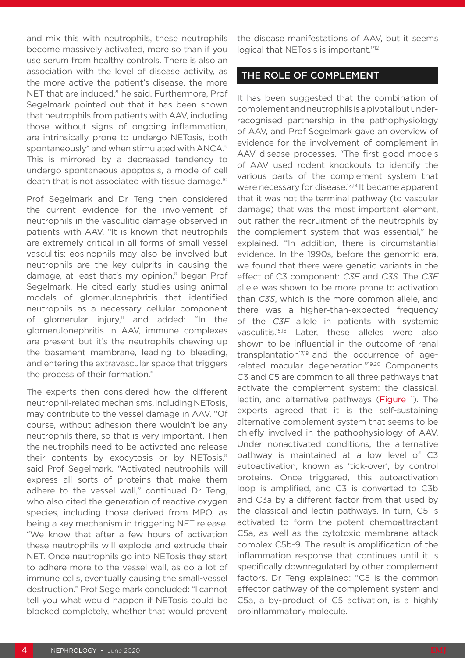and mix this with neutrophils, these neutrophils become massively activated, more so than if you use serum from healthy controls. There is also an association with the level of disease activity, as the more active the patient's disease, the more NET that are induced," he said. Furthermore, Prof Segelmark pointed out that it has been shown that neutrophils from patients with AAV, including those without signs of ongoing inflammation, are intrinsically prone to undergo NETosis, both spontaneously<sup>8</sup> and when stimulated with ANCA.<sup>9</sup> This is mirrored by a decreased tendency to undergo spontaneous apoptosis, a mode of cell death that is not associated with tissue damage.10

Prof Segelmark and Dr Teng then considered the current evidence for the involvement of neutrophils in the vasculitic damage observed in patients with AAV. "It is known that neutrophils are extremely critical in all forms of small vessel vasculitis; eosinophils may also be involved but neutrophils are the key culprits in causing the damage, at least that's my opinion," began Prof Segelmark. He cited early studies using animal models of glomerulonephritis that identified neutrophils as a necessary cellular component of glomerular injury, $11$  and added: "In the glomerulonephritis in AAV, immune complexes are present but it's the neutrophils chewing up the basement membrane, leading to bleeding, and entering the extravascular space that triggers the process of their formation."

The experts then considered how the different neutrophil-related mechanisms, including NETosis, may contribute to the vessel damage in AAV. "Of course, without adhesion there wouldn't be any neutrophils there, so that is very important. Then the neutrophils need to be activated and release their contents by exocytosis or by NETosis," said Prof Segelmark. "Activated neutrophils will express all sorts of proteins that make them adhere to the vessel wall," continued Dr Teng, who also cited the generation of reactive oxygen species, including those derived from MPO, as being a key mechanism in triggering NET release. "We know that after a few hours of activation these neutrophils will explode and extrude their NET. Once neutrophils go into NETosis they start to adhere more to the vessel wall, as do a lot of immune cells, eventually causing the small-vessel destruction." Prof Segelmark concluded: "I cannot tell you what would happen if NETosis could be blocked completely, whether that would prevent

the disease manifestations of AAV, but it seems logical that NETosis is important."<sup>12</sup>

#### THE ROLE OF COMPLEMENT

It has been suggested that the combination of complement and neutrophils is a pivotal but underrecognised partnership in the pathophysiology of AAV, and Prof Segelmark gave an overview of evidence for the involvement of complement in AAV disease processes. "The first good models of AAV used rodent knockouts to identify the various parts of the complement system that were necessary for disease.<sup>13,14</sup> It became apparent that it was not the terminal pathway (to vascular damage) that was the most important element, but rather the recruitment of the neutrophils by the complement system that was essential," he explained. "In addition, there is circumstantial evidence. In the 1990s, before the genomic era, we found that there were genetic variants in the effect of C3 component: *C3F* and *C3S*. The *C3F* allele was shown to be more prone to activation than *C3S*, which is the more common allele, and there was a higher-than-expected frequency of the *C3F* allele in patients with systemic vasculitis.15,16 Later, these alleles were also shown to be influential in the outcome of renal transplantation $17,18$  and the occurrence of agerelated macular degeneration."19,20 Components C3 and C5 are common to all three pathways that activate the complement system: the classical, lectin, and alternative pathways (Figure 1). The experts agreed that it is the self-sustaining alternative complement system that seems to be chiefly involved in the pathophysiology of AAV. Under nonactivated conditions, the alternative pathway is maintained at a low level of C3 autoactivation, known as 'tick-over', by control proteins. Once triggered, this autoactivation loop is amplified, and C3 is converted to C3b and C3a by a different factor from that used by the classical and lectin pathways. In turn, C5 is activated to form the potent chemoattractant C5a, as well as the cytotoxic membrane attack complex C5b-9. The result is amplification of the inflammation response that continues until it is specifically downregulated by other complement factors. Dr Teng explained: "C5 is the common effector pathway of the complement system and C5a, a by-product of C5 activation, is a highly proinflammatory molecule.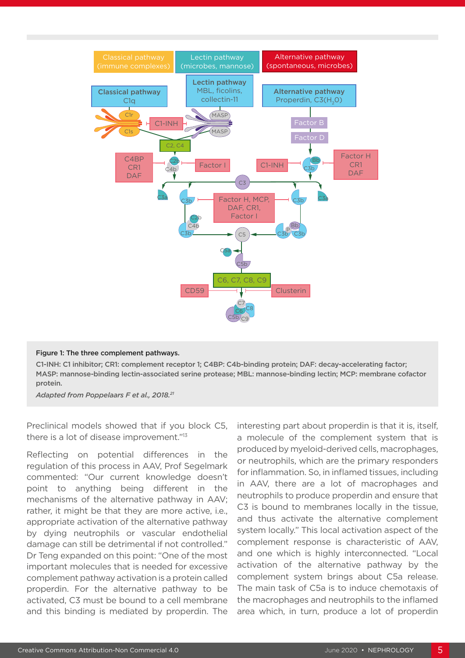

#### Figure 1: The three complement pathways.

C1-INH: C1 inhibitor; CR1: complement receptor 1; C4BP: C4b-binding protein; DAF: decay-accelerating factor; MASP: mannose-binding lectin-associated serine protease; MBL: mannose-binding lectin; MCP: membrane cofactor protein.

*Adapted from Poppelaars F et al., 2018.21*

Preclinical models showed that if you block C5, there is a lot of disease improvement."13

Reflecting on potential differences in the regulation of this process in AAV, Prof Segelmark commented: "Our current knowledge doesn't point to anything being different in the mechanisms of the alternative pathway in AAV; rather, it might be that they are more active, i.e., appropriate activation of the alternative pathway by dying neutrophils or vascular endothelial damage can still be detrimental if not controlled." Dr Teng expanded on this point: "One of the most important molecules that is needed for excessive complement pathway activation is a protein called properdin. For the alternative pathway to be activated, C3 must be bound to a cell membrane and this binding is mediated by properdin. The

interesting part about properdin is that it is, itself, a molecule of the complement system that is produced by myeloid-derived cells, macrophages, or neutrophils, which are the primary responders for inflammation. So, in inflamed tissues, including in AAV, there are a lot of macrophages and neutrophils to produce properdin and ensure that C3 is bound to membranes locally in the tissue, and thus activate the alternative complement system locally." This local activation aspect of the complement response is characteristic of AAV, and one which is highly interconnected. "Local activation of the alternative pathway by the complement system brings about C5a release. The main task of C5a is to induce chemotaxis of the macrophages and neutrophils to the inflamed area which, in turn, produce a lot of properdin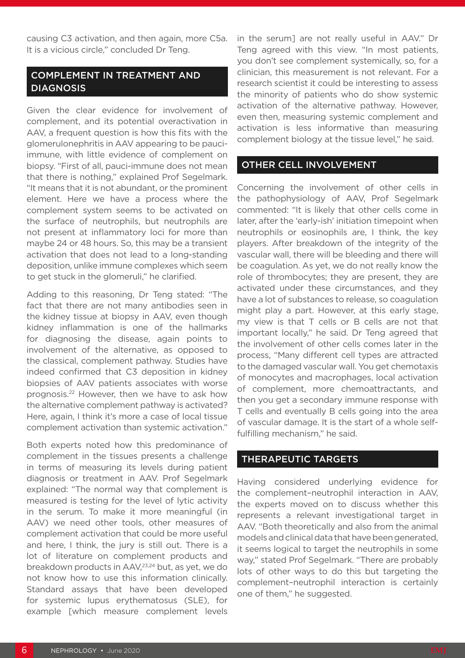causing C3 activation, and then again, more C5a. It is a vicious circle," concluded Dr Teng.

# COMPLEMENT IN TREATMENT AND DIAGNOSIS

Given the clear evidence for involvement of complement, and its potential overactivation in AAV, a frequent question is how this fits with the glomerulonephritis in AAV appearing to be pauciimmune, with little evidence of complement on biopsy. "First of all, pauci-immune does not mean that there is nothing," explained Prof Segelmark. "It means that it is not abundant, or the prominent element. Here we have a process where the complement system seems to be activated on the surface of neutrophils, but neutrophils are not present at inflammatory loci for more than maybe 24 or 48 hours. So, this may be a transient activation that does not lead to a long-standing deposition, unlike immune complexes which seem to get stuck in the glomeruli," he clarified.

Adding to this reasoning, Dr Teng stated: "The fact that there are not many antibodies seen in the kidney tissue at biopsy in AAV, even though kidney inflammation is one of the hallmarks for diagnosing the disease, again points to involvement of the alternative, as opposed to the classical, complement pathway. Studies have indeed confirmed that C3 deposition in kidney biopsies of AAV patients associates with worse prognosis.22 However, then we have to ask how the alternative complement pathway is activated? Here, again, I think it's more a case of local tissue complement activation than systemic activation."

Both experts noted how this predominance of complement in the tissues presents a challenge in terms of measuring its levels during patient diagnosis or treatment in AAV. Prof Segelmark explained: "The normal way that complement is measured is testing for the level of lytic activity in the serum. To make it more meaningful (in AAV) we need other tools, other measures of complement activation that could be more useful and here, I think, the jury is still out. There is a lot of literature on complement products and breakdown products in AAV,<sup>23,24</sup> but, as yet, we do not know how to use this information clinically. Standard assays that have been developed for systemic lupus erythematosus (SLE), for example [which measure complement levels

in the serum] are not really useful in AAV." Dr Teng agreed with this view. "In most patients, you don't see complement systemically, so, for a clinician, this measurement is not relevant. For a research scientist it could be interesting to assess the minority of patients who do show systemic activation of the alternative pathway. However, even then, measuring systemic complement and activation is less informative than measuring complement biology at the tissue level," he said.

#### OTHER CELL INVOLVEMENT

Concerning the involvement of other cells in the pathophysiology of AAV, Prof Segelmark commented: "It is likely that other cells come in later, after the 'early-ish' initiation timepoint when neutrophils or eosinophils are, I think, the key players. After breakdown of the integrity of the vascular wall, there will be bleeding and there will be coagulation. As yet, we do not really know the role of thrombocytes; they are present, they are activated under these circumstances, and they have a lot of substances to release, so coagulation might play a part. However, at this early stage, my view is that T cells or B cells are not that important locally," he said. Dr Teng agreed that the involvement of other cells comes later in the process, "Many different cell types are attracted to the damaged vascular wall. You get chemotaxis of monocytes and macrophages, local activation of complement, more chemoattractants, and then you get a secondary immune response with T cells and eventually B cells going into the area of vascular damage. It is the start of a whole selffulfilling mechanism," he said.

#### THERAPEUTIC TARGETS

Having considered underlying evidence for the complement–neutrophil interaction in AAV, the experts moved on to discuss whether this represents a relevant investigational target in AAV. "Both theoretically and also from the animal models and clinical data that have been generated, it seems logical to target the neutrophils in some way," stated Prof Segelmark. "There are probably lots of other ways to do this but targeting the complement–neutrophil interaction is certainly one of them," he suggested.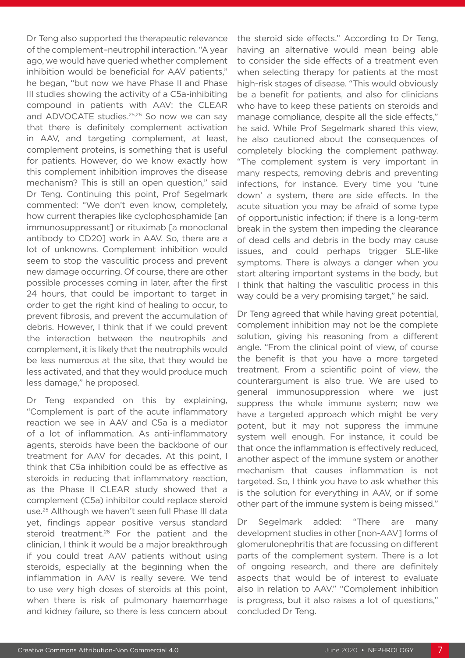Dr Teng also supported the therapeutic relevance of the complement–neutrophil interaction. "A year ago, we would have queried whether complement inhibition would be beneficial for AAV patients," he began, "but now we have Phase II and Phase III studies showing the activity of a C5a-inhibiting compound in patients with AAV: the CLEAR and ADVOCATE studies.25,26 So now we can say that there is definitely complement activation in AAV, and targeting complement, at least, complement proteins, is something that is useful for patients. However, do we know exactly how this complement inhibition improves the disease mechanism? This is still an open question," said Dr Teng. Continuing this point, Prof Segelmark commented: "We don't even know, completely, how current therapies like cyclophosphamide [an immunosuppressant] or rituximab [a monoclonal antibody to CD20] work in AAV. So, there are a lot of unknowns. Complement inhibition would seem to stop the vasculitic process and prevent new damage occurring. Of course, there are other possible processes coming in later, after the first 24 hours, that could be important to target in order to get the right kind of healing to occur, to prevent fibrosis, and prevent the accumulation of debris. However, I think that if we could prevent the interaction between the neutrophils and complement, it is likely that the neutrophils would be less numerous at the site, that they would be less activated, and that they would produce much less damage," he proposed.

Dr Teng expanded on this by explaining, "Complement is part of the acute inflammatory reaction we see in AAV and C5a is a mediator of a lot of inflammation. As anti-inflammatory agents, steroids have been the backbone of our treatment for AAV for decades. At this point, I think that C5a inhibition could be as effective as steroids in reducing that inflammatory reaction, as the Phase II CLEAR study showed that a complement (C5a) inhibitor could replace steroid use.25 Although we haven't seen full Phase III data yet, findings appear positive versus standard steroid treatment.<sup>26</sup> For the patient and the clinician, I think it would be a major breakthrough if you could treat AAV patients without using steroids, especially at the beginning when the inflammation in AAV is really severe. We tend to use very high doses of steroids at this point, when there is risk of pulmonary haemorrhage and kidney failure, so there is less concern about

the steroid side effects." According to Dr Teng, having an alternative would mean being able to consider the side effects of a treatment even when selecting therapy for patients at the most high-risk stages of disease. "This would obviously be a benefit for patients, and also for clinicians who have to keep these patients on steroids and manage compliance, despite all the side effects," he said. While Prof Segelmark shared this view, he also cautioned about the consequences of completely blocking the complement pathway. "The complement system is very important in many respects, removing debris and preventing infections, for instance. Every time you 'tune down' a system, there are side effects. In the acute situation you may be afraid of some type of opportunistic infection; if there is a long-term break in the system then impeding the clearance of dead cells and debris in the body may cause issues, and could perhaps trigger SLE-like symptoms. There is always a danger when you start altering important systems in the body, but I think that halting the vasculitic process in this way could be a very promising target," he said.

Dr Teng agreed that while having great potential, complement inhibition may not be the complete solution, giving his reasoning from a different angle. "From the clinical point of view, of course the benefit is that you have a more targeted treatment. From a scientific point of view, the counterargument is also true. We are used to general immunosuppression where we just suppress the whole immune system; now we have a targeted approach which might be very potent, but it may not suppress the immune system well enough. For instance, it could be that once the inflammation is effectively reduced, another aspect of the immune system or another mechanism that causes inflammation is not targeted. So, I think you have to ask whether this is the solution for everything in AAV, or if some other part of the immune system is being missed."

Dr Segelmark added: "There are many development studies in other [non-AAV] forms of glomerulonephritis that are focussing on different parts of the complement system. There is a lot of ongoing research, and there are definitely aspects that would be of interest to evaluate also in relation to AAV." "Complement inhibition is progress, but it also raises a lot of questions," concluded Dr Teng.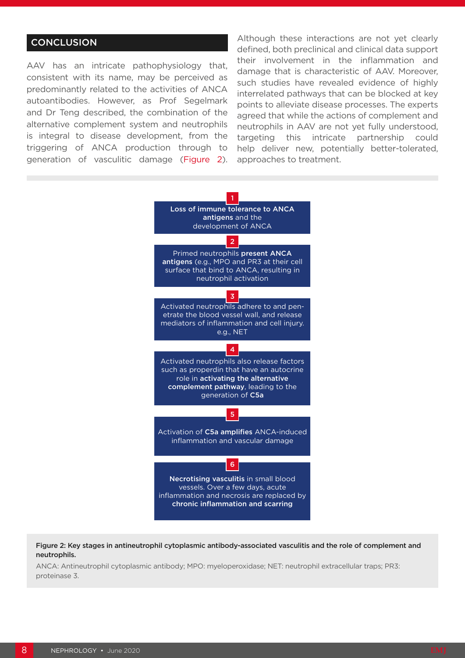## **CONCLUSION**

AAV has an intricate pathophysiology that, consistent with its name, may be perceived as predominantly related to the activities of ANCA autoantibodies. However, as Prof Segelmark and Dr Teng described, the combination of the alternative complement system and neutrophils is integral to disease development, from the triggering of ANCA production through to generation of vasculitic damage (Figure 2). Although these interactions are not yet clearly defined, both preclinical and clinical data support their involvement in the inflammation and damage that is characteristic of AAV. Moreover, such studies have revealed evidence of highly interrelated pathways that can be blocked at key points to alleviate disease processes. The experts agreed that while the actions of complement and neutrophils in AAV are not yet fully understood, targeting this intricate partnership could help deliver new, potentially better-tolerated, approaches to treatment.



Figure 2: Key stages in antineutrophil cytoplasmic antibody-associated vasculitis and the role of complement and neutrophils.

ANCA: Antineutrophil cytoplasmic antibody; MPO: myeloperoxidase; NET: neutrophil extracellular traps; PR3: proteinase 3.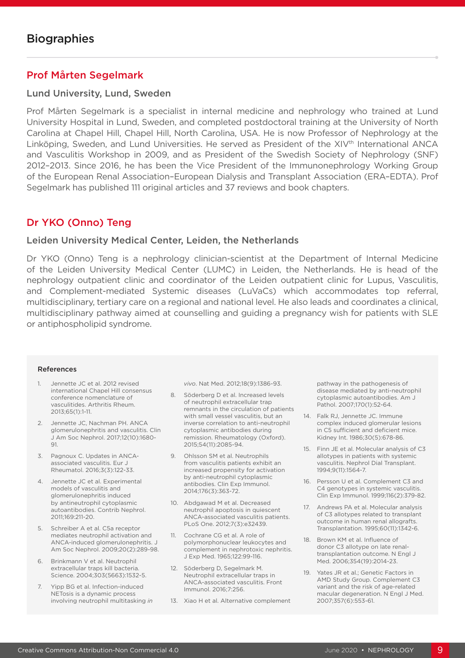## Prof Mårten Segelmark

#### Lund University, Lund, Sweden

Prof Mårten Segelmark is a specialist in internal medicine and nephrology who trained at Lund University Hospital in Lund, Sweden, and completed postdoctoral training at the University of North Carolina at Chapel Hill, Chapel Hill, North Carolina, USA. He is now Professor of Nephrology at the Linköping, Sweden, and Lund Universities. He served as President of the XIV<sup>th</sup> International ANCA and Vasculitis Workshop in 2009, and as President of the Swedish Society of Nephrology (SNF) 2012–2013. Since 2016, he has been the Vice President of the Immunonephrology Working Group of the European Renal Association–European Dialysis and Transplant Association (ERA–EDTA). Prof Segelmark has published 111 original articles and 37 reviews and book chapters.

## Dr YKO (Onno) Teng

#### Leiden University Medical Center, Leiden, the Netherlands

Dr YKO (Onno) Teng is a nephrology clinician-scientist at the Department of Internal Medicine of the Leiden University Medical Center (LUMC) in Leiden, the Netherlands. He is head of the nephrology outpatient clinic and coordinator of the Leiden outpatient clinic for Lupus, Vasculitis, and Complement-mediated Systemic diseases (LuVaCs) which accommodates top referral, multidisciplinary, tertiary care on a regional and national level. He also leads and coordinates a clinical, multidisciplinary pathway aimed at counselling and guiding a pregnancy wish for patients with SLE or antiphospholipid syndrome.

#### References

- 1. Jennette JC et al. 2012 revised international Chapel Hill consensus conference nomenclature of vasculitides. Arthritis Rheum. 2013;65(1):1-11.
- 2. Jennette JC, Nachman PH. ANCA glomerulonephritis and vasculitis. Clin J Am Soc Nephrol. 2017;12(10):1680- 91.
- 3. Pagnoux C. Updates in ANCAassociated vasculitis. Eur J Rheumatol. 2016;3(3):122-33.
- 4. Jennette JC et al. Experimental models of vasculitis and glomerulonephritis induced by antineutrophil cytoplasmic autoantibodies. Contrib Nephrol. 2011;169:211-20.
- 5. Schreiber A et al. C5a receptor mediates neutrophil activation and ANCA-induced glomerulonephritis. J Am Soc Nephrol. 2009;20(2):289-98.
- 6. Brinkmann V et al. Neutrophil extracellular traps kill bacteria. Science. 2004;303(5663):1532-5.
- 7. Yipp BG et al. Infection-induced NETosis is a dynamic process involving neutrophil multitasking *in*

*vivo*. Nat Med. 2012;18(9):1386-93.

- 8. Söderberg D et al. Increased levels of neutrophil extracellular trap remnants in the circulation of patients with small vessel vasculitis, but an inverse correlation to anti-neutrophil cytoplasmic antibodies during remission. Rheumatology (Oxford). 2015;54(11):2085-94.
- 9. Ohlsson SM et al. Neutrophils from vasculitis patients exhibit an increased propensity for activation by anti-neutrophil cytoplasmic antibodies. Clin Exp Immunol. 2014;176(3):363-72.
- 10. Abdgawad M et al. Decreased neutrophil apoptosis in quiescent ANCA-associated vasculitis patients. PLoS One. 2012;7(3):e32439.
- 11. Cochrane CG et al. A role of polymorphonuclear leukocytes and complement in nephrotoxic nephritis. J Exp Med. 1965;122:99-116.
- 12. Söderberg D, Segelmark M. Neutrophil extracellular traps in ANCA-associated vasculitis. Front Immunol. 2016;7:256.
- 13. Xiao H et al. Alternative complement

pathway in the pathogenesis of disease mediated by anti-neutrophil cytoplasmic autoantibodies. Am J Pathol. 2007;170(1):52-64.

- 14. Falk RJ, Jennette JC. Immune complex induced glomerular lesions in C5 sufficient and deficient mice. Kidney Int. 1986;30(5):678-86.
- 15. Finn JE et al. Molecular analysis of C3 allotypes in patients with systemic vasculitis. Nephrol Dial Transplant. 1994;9(11):1564-7.
- 16. Persson U et al. Complement C3 and C4 genotypes in systemic vasculitis. Clin Exp Immunol. 1999;116(2):379-82.
- 17. Andrews PA et al. Molecular analysis of C3 allotypes related to transplant outcome in human renal allografts. Transplantation. 1995;60(11):1342-6.
- 18. Brown KM et al. Influence of donor C3 allotype on late renaltransplantation outcome. N Engl J Med. 2006;354(19):2014-23.
- 19. Yates JR et al.; Genetic Factors in AMD Study Group. Complement C3 variant and the risk of age-related macular degeneration. N Engl J Med. 2007;357(6):553-61.